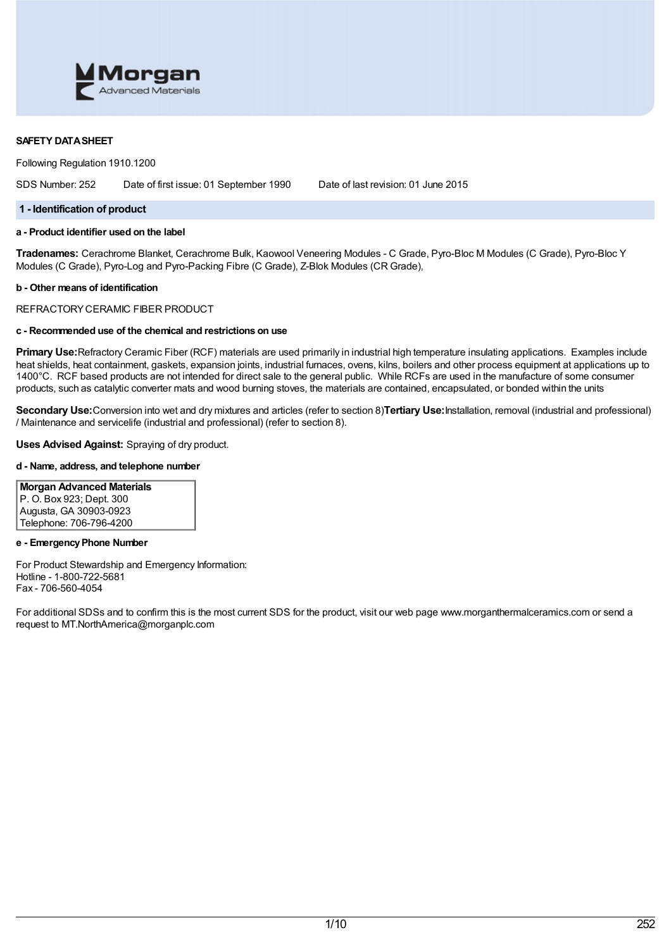

## **SAFETY DATASHEET**

Following Regulation 1910.1200

SDS Number: 252 Date of first issue: 01 September 1990 Date of last revision: 01 June 2015

### **1 - Identification of product**

# **a - Product identifier used on the label**

**Tradenames:** Cerachrome Blanket, Cerachrome Bulk, Kaowool Veneering Modules - C Grade, Pyro-Bloc M Modules (C Grade), Pyro-Bloc Y Modules (C Grade), Pyro-Log and Pyro-Packing Fibre (C Grade), Z-Blok Modules (CR Grade),

### **b - Other means of identification**

REFRACTORYCERAMIC FIBER PRODUCT

# **c - Recommended use of the chemical and restrictions on use**

**Primary Use:**Refractory Ceramic Fiber (RCF) materials are used primarily in industrial high temperature insulating applications. Examples include heat shields, heat containment, gaskets, expansion joints, industrial furnaces, ovens, kilns, boilers and other process equipment at applications up to 1400°C. RCF based products are not intended for direct sale to the general public. While RCFs are used in the manufacture of some consumer products, such as catalytic converter mats and wood burning stoves, the materials are contained, encapsulated, or bonded within the units

**Secondary Use:**Conversion into wet and dry mixtures and articles (refer to section 8)**Tertiary Use:**Installation, removal (industrial and professional) / Maintenance and servicelife (industrial and professional) (refer to section 8).

## **Uses Advised Against:** Spraying of dry product.

## **d - Name, address, and telephone number**

# **Morgan Advanced Materials** P. O. Box 923; Dept. 300

Augusta, GA 30903-0923 Telephone: 706-796-4200

## **e - EmergencyPhone Number**

For Product Stewardship and Emergency Information: Hotline - 1-800-722-5681 Fax - 706-560-4054

For additional SDSs and to confirm this is the most current SDS for the product, visit our web page www.morganthermalceramics.com or send a request to MT.NorthAmerica@morganplc.com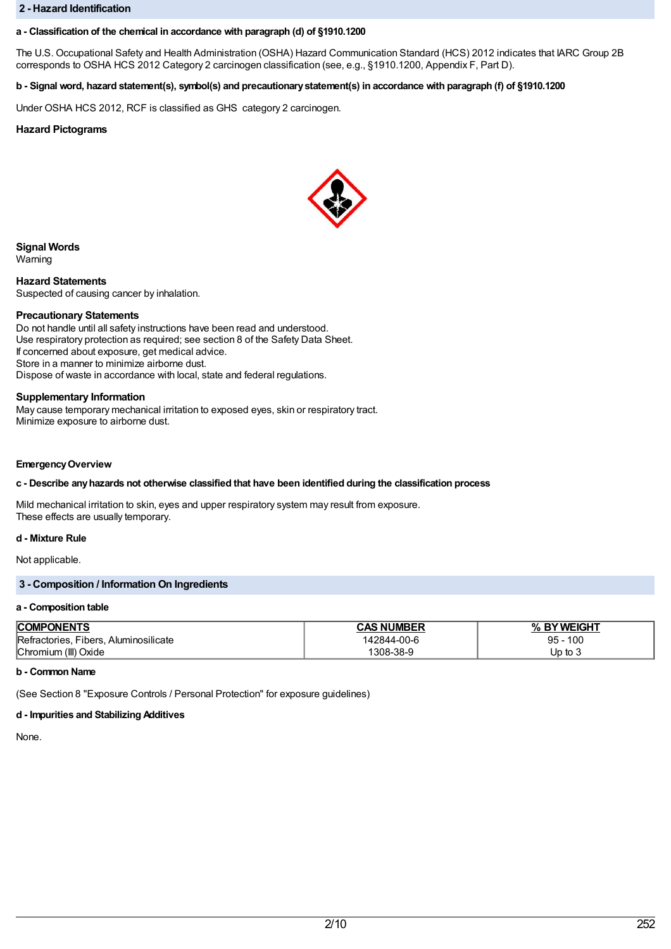### **2 - Hazard Identification**

## **a - Classification of the chemical in accordance with paragraph (d) of §1910.1200**

The U.S. Occupational Safety and Health Administration (OSHA) Hazard Communication Standard (HCS) 2012 indicates that IARC Group 2B corresponds to OSHA HCS 2012 Category 2 carcinogen classification (see, e.g., §1910.1200, Appendix F, Part D).

# b - Signal word, hazard statement(s), symbol(s) and precautionary statement(s) in accordance with paragraph (f) of §1910.1200

Under OSHA HCS 2012, RCF is classified as GHS category 2 carcinogen.

# **Hazard Pictograms**



**Signal Words**

Warning

**Hazard Statements** Suspected of causing cancer by inhalation.

### **Precautionary Statements**

Do not handle until all safety instructions have been read and understood. Use respiratory protection as required; see section 8 of the Safety Data Sheet. If concerned about exposure, get medical advice. Store in a manner to minimize airborne dust. Dispose of waste in accordance with local, state and federal regulations.

### **Supplementary Information**

May cause temporary mechanical irritation to exposed eyes, skin or respiratory tract. Minimize exposure to airborne dust.

### **EmergencyOverview**

## **c - Describe anyhazards not otherwise classified that have been identified during the classification process**

Mild mechanical irritation to skin, eyes and upper respiratory system may result from exposure. These effects are usually temporary.

## **d - Mixture Rule**

Not applicable.

# **3 - Composition / Information On Ingredients**

#### **a - Composition table**

| <b>COMPONENTS</b>                     | <b>CAS NUMBER</b> | Y WEIGHT<br>0/<br>'n |
|---------------------------------------|-------------------|----------------------|
| Refractories, Fibers, Aluminosilicate | 142844-00-6       | 100<br>$95 -$        |
| Chromium (III) Oxide                  | 308-38-9          | Up to 3              |

## **b - Common Name**

(See Section 8 "Exposure Controls / Personal Protection" for exposure guidelines)

## **d - Impurities and Stabilizing Additives**

None.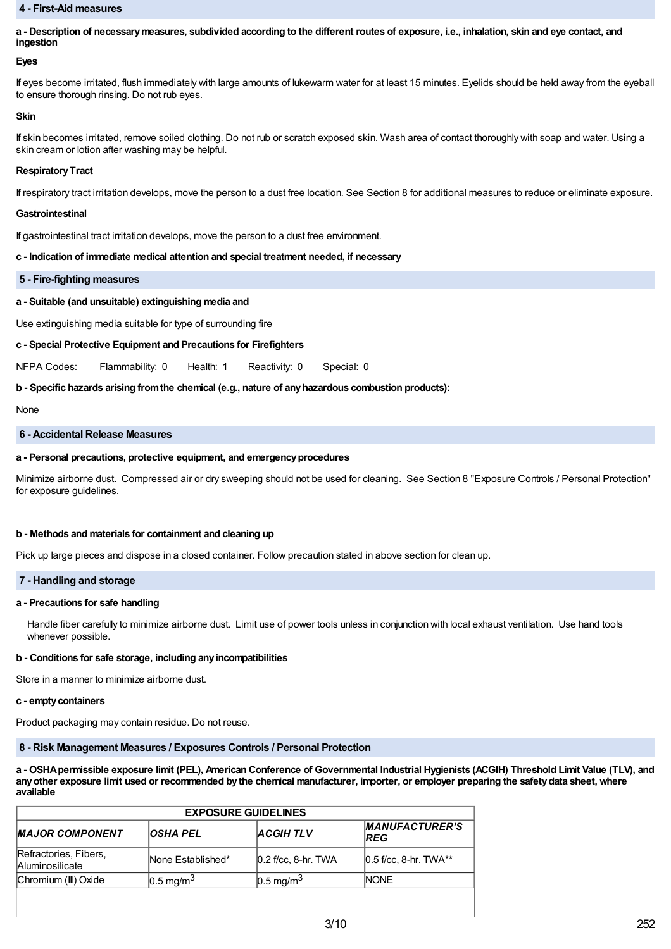### **4 - First-Aid measures**

a - Description of necessary measures, subdivided according to the different routes of exposure, i.e., inhalation, skin and eye contact, and **ingestion**

### **Eyes**

If eyes become irritated, flush immediately with large amounts of lukewarm water for at least 15 minutes. Eyelids should be held away from the eyeball to ensure thorough rinsing. Do not rub eyes.

### **Skin**

If skin becomes irritated, remove soiled clothing. Do not rub or scratch exposed skin. Wash area of contact thoroughly with soap and water. Using a skin cream or lotion after washing may be helpful.

### **RespiratoryTract**

If respiratory tract irritation develops, move the person to a dust free location. See Section 8 for additional measures to reduce or eliminate exposure.

#### **Gastrointestinal**

If gastrointestinal tract irritation develops, move the person to a dust free environment.

### **c - Indication of immediate medical attention and special treatment needed, if necessary**

#### **5 - Fire-fighting measures**

# **a - Suitable (and unsuitable) extinguishing media and**

Use extinguishing media suitable for type of surrounding fire

## **c - Special Protective Equipment and Precautions for Firefighters**

NFPA Codes: Flammability: 0 Health: 1 Reactivity: 0 Special: 0

## **b - Specific hazards arising fromthe chemical (e.g., nature of anyhazardous combustion products):**

None

### **6 - Accidental Release Measures**

### **a - Personal precautions, protective equipment, and emergencyprocedures**

Minimize airborne dust. Compressed air or dry sweeping should not be used for cleaning. See Section 8 "Exposure Controls / Personal Protection" for exposure guidelines.

#### **b - Methods and materials for containment and cleaning up**

Pick up large pieces and dispose in a closed container. Follow precaution stated in above section for clean up.

## **7 - Handling and storage**

#### **a - Precautions for safe handling**

Handle fiber carefully to minimize airborne dust. Limit use of power tools unless in conjunction with local exhaust ventilation. Use hand tools whenever possible.

## **b - Conditions for safe storage, including anyincompatibilities**

Store in a manner to minimize airborne dust.

### **c - emptycontainers**

Product packaging may contain residue. Do not reuse.

# **8 - Risk Management Measures / Exposures Controls / Personal Protection**

a - OSHA permissible exposure limit (PEL), American Conference of Governmental Industrial Hygienists (ACGIH) Threshold Limit Value (TLV), and any other exposure limit used or recommended by the chemical manufacturer, importer, or employer preparing the safety data sheet, where **available**

| <b>EXPOSURE GUIDELINES</b>                      |                      |                       |                                     |  |  |
|-------------------------------------------------|----------------------|-----------------------|-------------------------------------|--|--|
| <b>MAJOR COMPONENT</b>                          | <b>OSHA PEL</b>      | <b>ACGIH TLV</b>      | <b>MANUFACTURER'S</b><br><b>REG</b> |  |  |
| Refractories, Fibers,<br><b>Aluminosilicate</b> | None Established*    | $0.2$ f/cc, 8-hr. TWA | $[0.5$ f/cc, 8-hr. TWA**            |  |  |
| Chromium (III) Oxide                            | $0.5 \text{ mg/m}^3$ | $0.5 \text{ mg/m}^3$  | <b>NONE</b>                         |  |  |
|                                                 |                      |                       |                                     |  |  |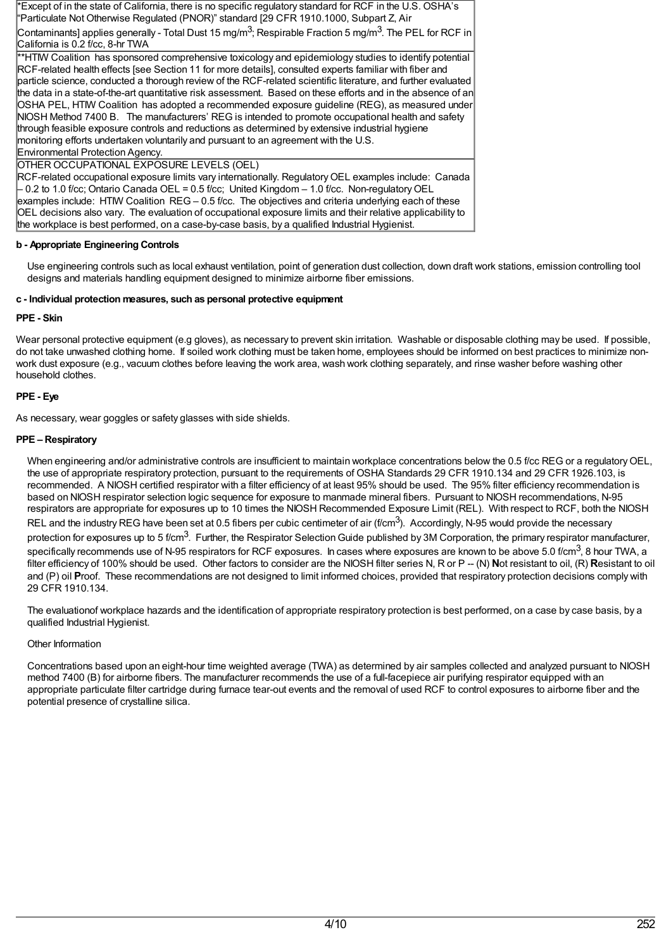\*Except of in the state of California, there is no specific regulatory standard for RCF in the U.S. OSHA's "Particulate Not Otherwise Regulated (PNOR)" standard [29 CFR 1910.1000, Subpart Z, Air

Contaminants] applies generally - Total Dust 15 mg/m<sup>3</sup>; Respirable Fraction 5 mg/m<sup>3</sup>. The PEL for RCF in California is 0.2 f/cc, 8-hr TWA

\*\*HTIW Coalition has sponsored comprehensive toxicology and epidemiology studies to identify potential RCF-related health effects [see Section 11 for more details], consulted experts familiar with fiber and particle science, conducted a thorough review of the RCF-related scientific literature, and further evaluated the data in a state-of-the-art quantitative risk assessment. Based on these efforts and in the absence of an OSHA PEL, HTIW Coalition has adopted a recommended exposure guideline (REG), as measured under NIOSH Method 7400 B. The manufacturers' REG is intended to promote occupational health and safety through feasible exposure controls and reductions as determined by extensive industrial hygiene monitoring efforts undertaken voluntarily and pursuant to an agreement with the U.S. Environmental Protection Agency.

# OTHER OCCUPATIONAL EXPOSURE LEVELS (OEL)

RCF-related occupational exposure limits vary internationally. RegulatoryOEL examples include: Canada – 0.2 to 1.0 f/cc; Ontario Canada OEL = 0.5 f/cc; United Kingdom – 1.0 f/cc. Non-regulatoryOEL examples include: HTIW Coalition REG – 0.5 f/cc. The objectives and criteria underlying each of these OEL decisions also vary. The evaluation of occupational exposure limits and their relative applicability to the workplace is best performed, on a case-by-case basis, by a qualified Industrial Hygienist.

# **b - Appropriate Engineering Controls**

Use engineering controls such as local exhaust ventilation, point of generation dust collection, down draft work stations, emission controlling tool designs and materials handling equipment designed to minimize airborne fiber emissions.

# **c - Individual protection measures, such as personal protective equipment**

# **PPE - Skin**

Wear personal protective equipment (e.g gloves), as necessary to prevent skin irritation. Washable or disposable clothing may be used. If possible, do not take unwashed clothing home. If soiled work clothing must be taken home, employees should be informed on best practices to minimize nonwork dust exposure (e.g., vacuum clothes before leaving the work area, wash work clothing separately, and rinse washer before washing other household clothes.

# **PPE - Eye**

As necessary, wear goggles or safety glasses with side shields.

# **PPE – Respiratory**

When engineering and/or administrative controls are insufficient to maintain workplace concentrations below the 0.5 f/cc REG or a regulatory OEL, the use of appropriate respiratory protection, pursuant to the requirements of OSHA Standards 29 CFR 1910.134 and 29 CFR 1926.103, is recommended. A NIOSH certified respirator with a filter efficiency of at least 95% should be used. The 95% filter efficiency recommendation is based on NIOSH respirator selection logic sequence for exposure to manmade mineral fibers. Pursuant to NIOSH recommendations, N-95 respirators are appropriate for exposures up to 10 times the NIOSH Recommended Exposure Limit (REL). With respect to RCF, both the NIOSH REL and the industry REG have been set at 0.5 fibers per cubic centimeter of air (f/cm<sup>3</sup>). Accordingly, N-95 would provide the necessary protection for exposures up to 5 f/cm<sup>3</sup>. Further, the Respirator Selection Guide published by 3M Corporation, the primary respirator manufacturer, specifically recommends use of N-95 respirators for RCF exposures. In cases where exposures are known to be above 5.0 f/cm $^3$ , 8 hour TWA, a filter efficiency of 100% should be used. Other factors to consider are the NIOSH filter series N, R or P -- (N) Not resistant to oil, (R) Resistant to oil and (P) oil **Proof.** These recommendations are not designed to limit informed choices, provided that respiratory protection decisions comply with 29 CFR 1910.134.

The evaluationof workplace hazards and the identification of appropriate respiratory protection is best performed, on a case by case basis, by a qualified Industrial Hygienist.

# Other Information

Concentrations based upon an eight-hour time weighted average (TWA) as determined by air samples collected and analyzed pursuant to NIOSH method 7400 (B) for airborne fibers. The manufacturer recommends the use of a full-facepiece air purifying respirator equipped with an appropriate particulate filter cartridge during furnace tear-out events and the removal of used RCF to control exposures to airborne fiber and the potential presence of crystalline silica.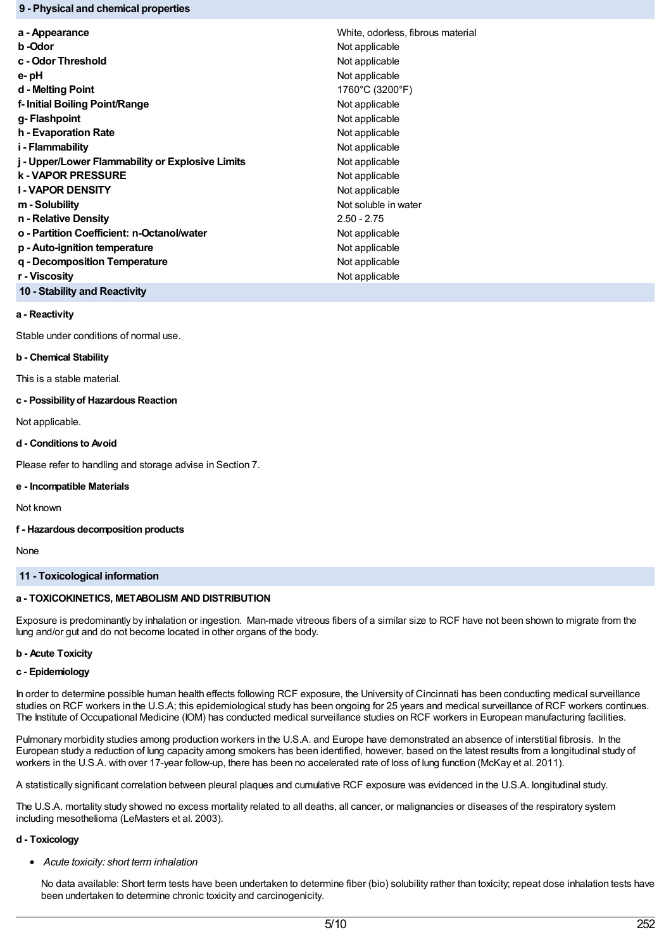## **9 - Physical and chemical properties**

| a - Appearance                                   | White, odorless, fibrous material |
|--------------------------------------------------|-----------------------------------|
| b -Odor                                          | Not applicable                    |
| c - Odor Threshold                               | Not applicable                    |
| e- pH                                            | Not applicable                    |
| d - Melting Point                                | 1760°C (3200°F)                   |
| f- Initial Boiling Point/Range                   | Not applicable                    |
| g- Flashpoint                                    | Not applicable                    |
| h - Evaporation Rate                             | Not applicable                    |
| i - Flammability                                 | Not applicable                    |
| j - Upper/Lower Flammability or Explosive Limits | Not applicable                    |
| k - VAPOR PRESSURE                               | Not applicable                    |
| <b>I-VAPOR DENSITY</b>                           | Not applicable                    |
| m - Solubility                                   | Not soluble in water              |
| n - Relative Density                             | $2.50 - 2.75$                     |
| o - Partition Coefficient: n-Octanol/water       | Not applicable                    |
| p - Auto-ignition temperature                    | Not applicable                    |
| g - Decomposition Temperature                    | Not applicable                    |
| r - Viscositv                                    | Not applicable                    |
|                                                  |                                   |

**10 - Stability and Reactivity**

# **a - Reactivity**

Stable under conditions of normal use.

### **b - Chemical Stability**

This is a stable material.

# **c - Possibilityof Hazardous Reaction**

Not applicable.

# **d - Conditions to Avoid**

Please refer to handling and storage advise in Section 7.

## **e - Incompatible Materials**

Not known

## **f - Hazardous decomposition products**

None

# **11 - Toxicological information**

# **a - TOXICOKINETICS, METABOLISM AND DISTRIBUTION**

Exposure is predominantly by inhalation or ingestion. Man-made vitreous fibers of a similar size to RCF have not been shown to migrate from the lung and/or gut and do not become located in other organs of the body.

## **b - Acute Toxicity**

## **c - Epidemiology**

In order to determine possible human health effects following RCF exposure, the University of Cincinnati has been conducting medical surveillance studies on RCF workers in the U.S.A; this epidemiological study has been ongoing for 25 years and medical surveillance of RCF workers continues. The Institute of Occupational Medicine (IOM) has conducted medical surveillance studies on RCF workers in European manufacturing facilities.

Pulmonary morbidity studies among production workers in the U.S.A. and Europe have demonstrated an absence of interstitial fibrosis. In the European study a reduction of lung capacity among smokers has been identified, however, based on the latest results from a longitudinal study of workers in the U.S.A. with over 17-year follow-up, there has been no accelerated rate of loss of lung function (McKay et al. 2011).

A statistically significant correlation between pleural plaques and cumulative RCF exposure was evidenced in the U.S.A. longitudinal study.

The U.S.A. mortality study showed no excess mortality related to all deaths, all cancer, or malignancies or diseases of the respiratory system including mesothelioma (LeMasters et al. 2003).

## **d - Toxicology**

*Acute toxicity: short term inhalation*

No data available: Short term tests have been undertaken to determine fiber (bio) solubility rather than toxicity; repeat dose inhalation tests have been undertaken to determine chronic toxicity and carcinogenicity.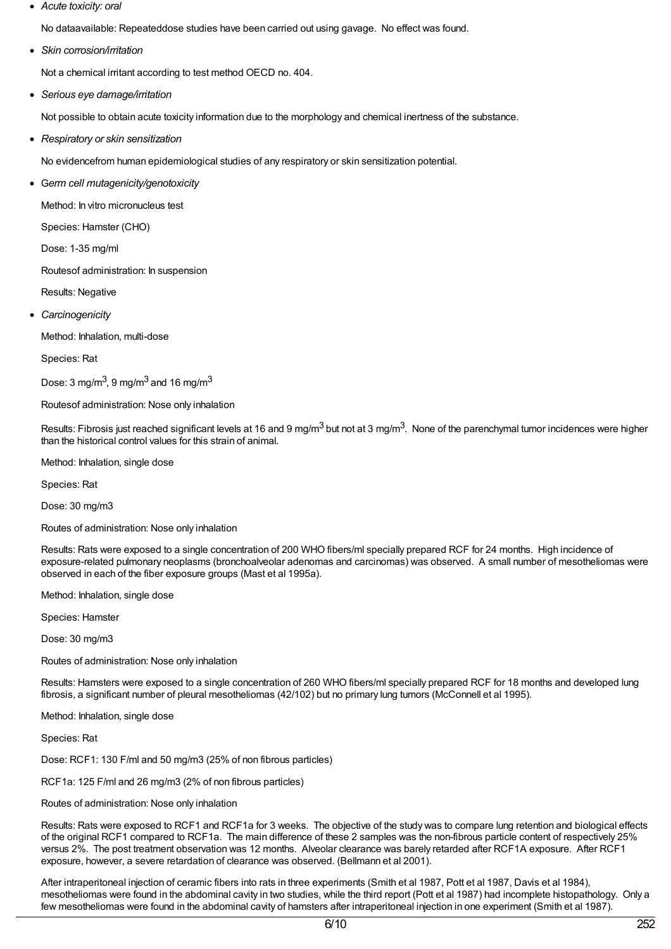*Acute toxicity: oral*

No dataavailable: Repeateddose studies have been carried out using gavage. No effect was found.

*Skin corrosion/irritation*

Not a chemical irritant according to test method OECD no. 404.

*Serious eye damage/irritation*

Not possible to obtain acute toxicity information due to the morphology and chemical inertness of the substance.

*Respiratory or skin sensitization*

No evidencefrom human epidemiological studies of any respiratory or skin sensitization potential.

G*erm cell mutagenicity/genotoxicity*

Method: In vitro micronucleus test

Species: Hamster (CHO)

Dose: 1-35 mg/ml

Routesof administration: In suspension

Results: Negative

*Carcinogenicity*

Method: Inhalation, multi-dose

Species: Rat

Dose: 3 mg/m $^3$ , 9 mg/m $^3$  and 16 mg/m $^3$ 

Routesof administration: Nose only inhalation

Results: Fibrosis just reached significant levels at 16 and 9 mg/m<sup>3</sup> but not at 3 mg/m<sup>3</sup>. None of the parenchymal tumor incidences were higher than the historical control values for this strain of animal.

Method: Inhalation, single dose

Species: Rat

Dose: 30 mg/m3

Routes of administration: Nose only inhalation

Results: Rats were exposed to a single concentration of 200 WHO fibers/ml specially prepared RCF for 24 months. High incidence of exposure-related pulmonary neoplasms (bronchoalveolar adenomas and carcinomas) was observed. A small number of mesotheliomas were observed in each of the fiber exposure groups (Mast et al 1995a).

Method: Inhalation, single dose

Species: Hamster

Dose: 30 mg/m3

Routes of administration: Nose only inhalation

Results: Hamsters were exposed to a single concentration of 260 WHO fibers/ml specially prepared RCF for 18 months and developed lung fibrosis, a significant number of pleural mesotheliomas (42/102) but no primary lung tumors (McConnell et al 1995).

Method: Inhalation, single dose

Species: Rat

Dose: RCF1: 130 F/ml and 50 mg/m3 (25% of non fibrous particles)

RCF1a: 125 F/ml and 26 mg/m3 (2% of non fibrous particles)

Routes of administration: Nose only inhalation

Results: Rats were exposed to RCF1 and RCF1a for 3 weeks. The objective of the study was to compare lung retention and biological effects of the original RCF1 compared to RCF1a. The main difference of these 2 samples was the non-fibrous particle content of respectively 25% versus 2%. The post treatment observation was 12 months. Alveolar clearance was barely retarded after RCF1A exposure. After RCF1 exposure, however, a severe retardation of clearance was observed. (Bellmann et al 2001).

After intraperitoneal injection of ceramic fibers into rats in three experiments (Smith et al 1987, Pott et al 1987, Davis et al 1984), mesotheliomas were found in the abdominal cavity in two studies, while the third report (Pott et al 1987) had incomplete histopathology. Only a few mesotheliomas were found in the abdominal cavity of hamsters after intraperitoneal injection in one experiment (Smith et al 1987).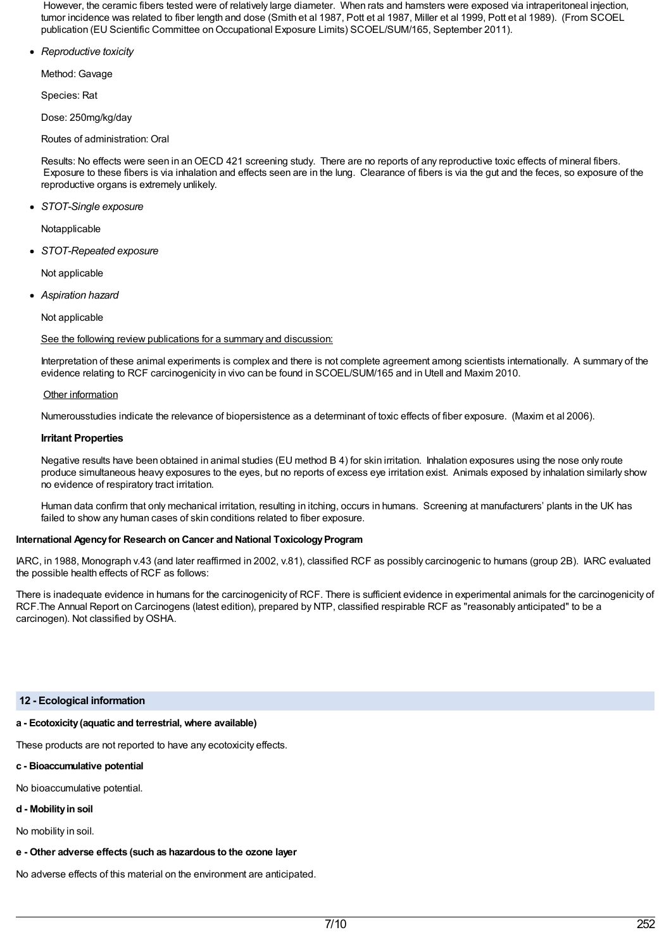However, the ceramic fibers tested were of relatively large diameter. When rats and hamsters were exposed via intraperitoneal injection, tumor incidence was related to fiber length and dose (Smith et al 1987, Pott et al 1987, Miller et al 1999, Pott et al 1989). (From SCOEL publication (EU Scientific Committee on Occupational Exposure Limits) SCOEL/SUM/165, September 2011).

*Reproductive toxicity*

Method: Gavage

Species: Rat

Dose: 250mg/kg/day

Routes of administration: Oral

Results: No effects were seen in anOECD 421 screening study. There are no reports of any reproductive toxic effects of mineral fibers. Exposure to these fibers is via inhalation and effects seen are in the lung. Clearance of fibers is via the gut and the feces, so exposure of the reproductive organs is extremely unlikely.

*STOT-Single exposure*

Notapplicable

*STOT-Repeated exposure*

Not applicable

*Aspiration hazard*

Not applicable

See the following review publications for a summary and discussion:

Interpretation of these animal experiments is complex and there is not complete agreement among scientists internationally. A summary of the evidence relating to RCF carcinogenicity in vivo can be found in SCOEL/SUM/165 and in Utell and Maxim 2010.

# Other information

Numerousstudies indicate the relevance of biopersistence as a determinant of toxic effects of fiber exposure. (Maxim et al 2006).

# **Irritant Properties**

Negative results have been obtained in animal studies (EU method B 4) for skin irritation. Inhalation exposures using the nose only route produce simultaneous heavy exposures to the eyes, but no reports of excess eye irritation exist. Animals exposed by inhalation similarly show no evidence of respiratory tract irritation.

Human data confirm that only mechanical irritation, resulting in itching, occurs in humans. Screening at manufacturers' plants in the UK has failed to show any human cases of skin conditions related to fiber exposure.

# **International Agency for Research on Cancer and National Toxicology Program**

IARC, in 1988, Monograph v.43 (and later reaffirmed in 2002, v.81), classified RCF as possibly carcinogenic to humans (group 2B). IARC evaluated the possible health effects of RCF as follows:

There is inadequate evidence in humans for the carcinogenicity of RCF. There is sufficient evidence in experimental animals for the carcinogenicity of RCF.The Annual Report on Carcinogens (latest edition), prepared by NTP, classified respirable RCF as "reasonably anticipated" to be a carcinogen). Not classified byOSHA.

## **12 - Ecological information**

# **a - Ecotoxicity(aquatic and terrestrial, where available)**

These products are not reported to have any ecotoxicity effects.

- **c - Bioaccumulative potential**
- No bioaccumulative potential.
- **d - Mobilityin soil**

No mobility in soil.

**e - Other adverse effects (such as hazardous to the ozone layer**

No adverse effects of this material on the environment are anticipated.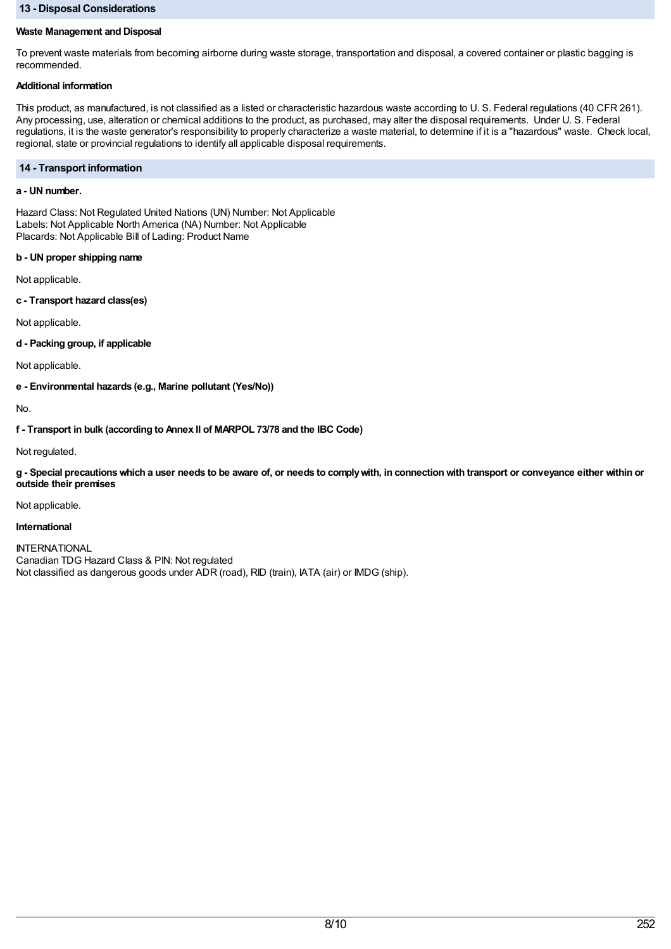# **13 - Disposal Considerations**

# **Waste Management and Disposal**

To prevent waste materials from becoming airborne during waste storage, transportation and disposal, a covered container or plastic bagging is recommended.

# **Additional information**

This product, as manufactured, is not classified as a listed or characteristic hazardous waste according to U. S. Federal regulations (40 CFR 261). Any processing, use, alteration or chemical additions to the product, as purchased, may alter the disposal requirements. Under U. S. Federal regulations, it is the waste generator's responsibility to properly characterize a waste material, to determine if it is a "hazardous" waste. Check local, regional, state or provincial regulations to identify all applicable disposal requirements.

# **14 - Transport information**

# **a - UN number.**

Hazard Class: Not Regulated United Nations (UN) Number: Not Applicable Labels: Not Applicable North America (NA) Number: Not Applicable Placards: Not Applicable Bill of Lading: Product Name

# **b - UN proper shipping name**

Not applicable.

**c - Transport hazard class(es)**

Not applicable.

**d - Packing group, if applicable**

Not applicable.

**e - Environmental hazards (e.g., Marine pollutant (Yes/No))**

No.

**f - Transport in bulk (according to Annex II of MARPOL 73/78 and the IBC Code)**

Not regulated.

g - Special precautions which a user needs to be aware of, or needs to comply with, in connection with transport or conveyance either within or **outside their premises**

Not applicable.

## **International**

INTERNATIONAL Canadian TDG Hazard Class & PIN: Not regulated Not classified as dangerous goods under ADR (road), RID (train), IATA (air) or IMDG (ship).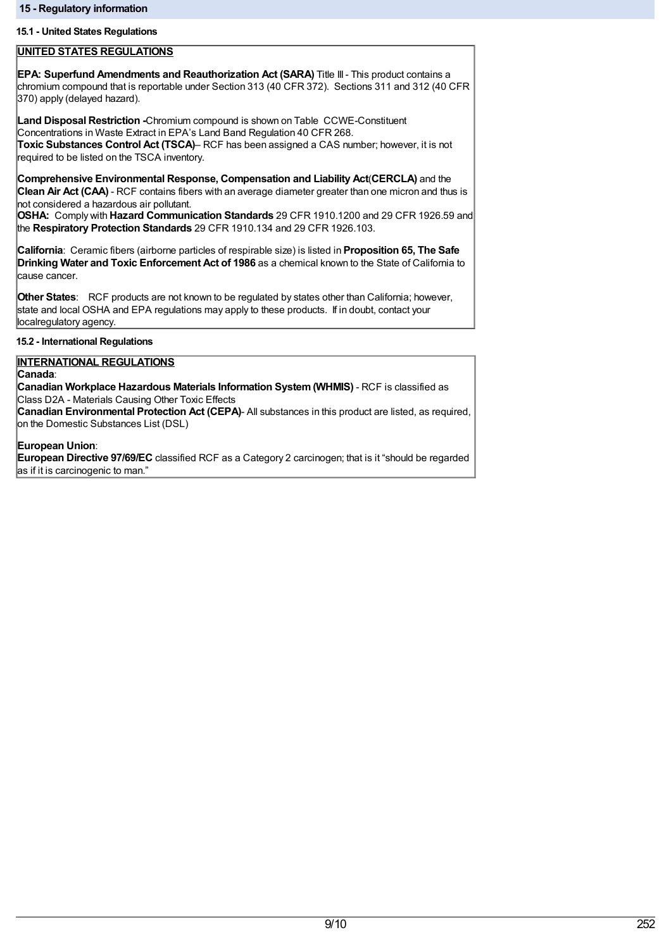# **15.1 - United States Regulations**

# **UNITED STATES REGULATIONS**

**EPA: Superfund Amendments and Reauthorization Act (SARA)** Title III- This product contains a chromium compound that is reportable under Section 313 (40 CFR 372). Sections 311 and 312 (40 CFR 370) apply (delayed hazard).

**Land Disposal Restriction -**Chromium compound is shown on Table CCWE-Constituent Concentrations in Waste Extract in EPA's Land Band Regulation 40 CFR 268. **Toxic Substances Control Act (TSCA)**– RCF has been assigned a CAS number; however, it is not required to be listed on the TSCA inventory.

**Comprehensive Environmental Response, Compensation and Liability Act**(**CERCLA)** and the **Clean Air Act (CAA)** - RCF contains fibers with an average diameter greater than one micron and thus is not considered a hazardous air pollutant.

**OSHA:** Comply with **Hazard Communication Standards** 29 CFR 1910.1200 and 29 CFR 1926.59 and the **Respiratory Protection Standards** 29 CFR 1910.134 and 29 CFR 1926.103.

**California**: Ceramic fibers (airborne particles of respirable size) is listed in **Proposition 65, The Safe Drinking Water and Toxic Enforcement Act of 1986** as a chemical known to the State of California to cause cancer.

**Other States**: RCF products are not known to be regulated by states other than California; however, state and local OSHA and EPA regulations may apply to these products. If in doubt, contact your localregulatory agency.

## **15.2 - International Regulations**

# **INTERNATIONAL REGULATIONS**

**Canada**:

**Canadian Workplace Hazardous Materials Information System(WHMIS)** - RCF is classified as Class D2A - Materials Causing Other Toxic Effects

**Canadian Environmental Protection Act (CEPA)**- All substances in this product are listed, as required, on the Domestic Substances List (DSL)

# **European Union**:

**European Directive 97/69/EC** classified RCF as a Category 2 carcinogen; that is it "should be regarded as if it is carcinogenic to man."